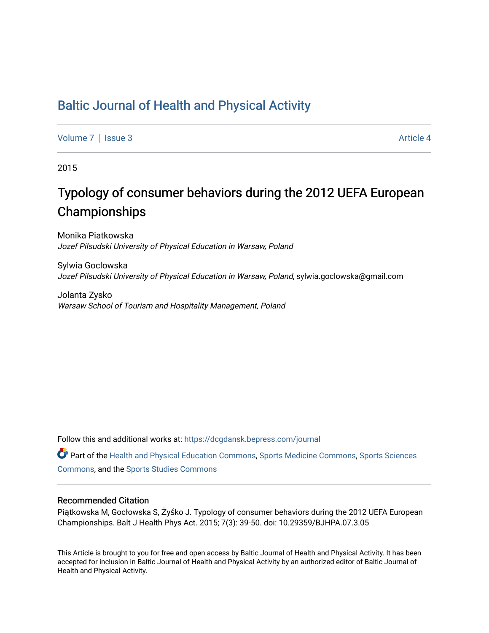## [Baltic Journal of Health and Physical Activity](https://dcgdansk.bepress.com/journal)

[Volume 7](https://dcgdansk.bepress.com/journal/vol7) | [Issue 3](https://dcgdansk.bepress.com/journal/vol7/iss3) Article 4

2015

## Typology of consumer behaviors during the 2012 UEFA European Championships

Monika Piatkowska Jozef Pilsudski University of Physical Education in Warsaw, Poland

Sylwia Goclowska Jozef Pilsudski University of Physical Education in Warsaw, Poland, sylwia.goclowska@gmail.com

Jolanta Zysko Warsaw School of Tourism and Hospitality Management, Poland

Follow this and additional works at: [https://dcgdansk.bepress.com/journal](https://dcgdansk.bepress.com/journal?utm_source=dcgdansk.bepress.com%2Fjournal%2Fvol7%2Fiss3%2F4&utm_medium=PDF&utm_campaign=PDFCoverPages)

Part of the [Health and Physical Education Commons](http://network.bepress.com/hgg/discipline/1327?utm_source=dcgdansk.bepress.com%2Fjournal%2Fvol7%2Fiss3%2F4&utm_medium=PDF&utm_campaign=PDFCoverPages), [Sports Medicine Commons,](http://network.bepress.com/hgg/discipline/1331?utm_source=dcgdansk.bepress.com%2Fjournal%2Fvol7%2Fiss3%2F4&utm_medium=PDF&utm_campaign=PDFCoverPages) [Sports Sciences](http://network.bepress.com/hgg/discipline/759?utm_source=dcgdansk.bepress.com%2Fjournal%2Fvol7%2Fiss3%2F4&utm_medium=PDF&utm_campaign=PDFCoverPages) [Commons](http://network.bepress.com/hgg/discipline/759?utm_source=dcgdansk.bepress.com%2Fjournal%2Fvol7%2Fiss3%2F4&utm_medium=PDF&utm_campaign=PDFCoverPages), and the [Sports Studies Commons](http://network.bepress.com/hgg/discipline/1198?utm_source=dcgdansk.bepress.com%2Fjournal%2Fvol7%2Fiss3%2F4&utm_medium=PDF&utm_campaign=PDFCoverPages) 

#### Recommended Citation

Piątkowska M, Gocłowska S, Żyśko J. Typology of consumer behaviors during the 2012 UEFA European Championships. Balt J Health Phys Act. 2015; 7(3): 39-50. doi: 10.29359/BJHPA.07.3.05

This Article is brought to you for free and open access by Baltic Journal of Health and Physical Activity. It has been accepted for inclusion in Baltic Journal of Health and Physical Activity by an authorized editor of Baltic Journal of Health and Physical Activity.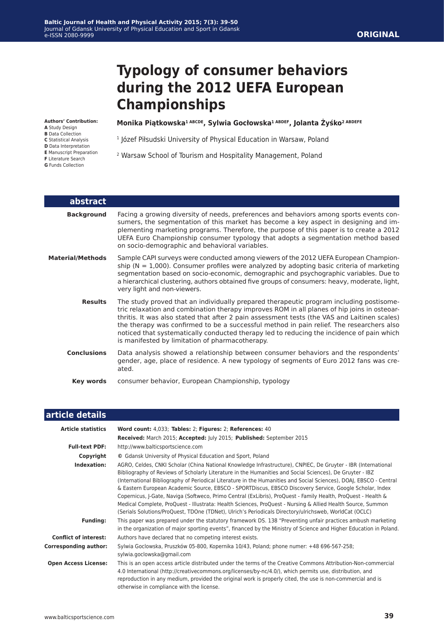# **Typology of consumer behaviors during the 2012 UEFA European Championships**

#### **Authors' Contribution:**

- **A** Study Design
- **B** Data Collection
- **C** Statistical Analysis
- **D** Data Interpretation **E** Manuscript Preparation
- **F** Literature Search
- 

#### **Monika Piątkowska1 ABCDE, Sylwia Gocłowska1 ABDEF, Jolanta Żyśko2 ABDEFE**

- <sup>1</sup> Józef Piłsudski University of Physical Education in Warsaw, Poland
- 2 Warsaw School of Tourism and Hospitality Management, Poland
- **G** Funds Collection
- 
- 

| abstract                |                                                                                                                                                                                                                                                                                                                                                                                                                                                                                                                                    |
|-------------------------|------------------------------------------------------------------------------------------------------------------------------------------------------------------------------------------------------------------------------------------------------------------------------------------------------------------------------------------------------------------------------------------------------------------------------------------------------------------------------------------------------------------------------------|
| <b>Background</b>       | Facing a growing diversity of needs, preferences and behaviors among sports events con-<br>sumers, the segmentation of this market has become a key aspect in designing and im-<br>plementing marketing programs. Therefore, the purpose of this paper is to create a 2012<br>UEFA Euro Championship consumer typology that adopts a segmentation method based<br>on socio-demographic and behavioral variables.                                                                                                                   |
| <b>Material/Methods</b> | Sample CAPI surveys were conducted among viewers of the 2012 UEFA European Champion-<br>ship ( $N = 1,000$ ). Consumer profiles were analyzed by adopting basic criteria of marketing<br>segmentation based on socio-economic, demographic and psychographic variables. Due to<br>a hierarchical clustering, authors obtained five groups of consumers: heavy, moderate, light,<br>very light and non-viewers.                                                                                                                     |
| <b>Results</b>          | The study proved that an individually prepared therapeutic program including postisome-<br>tric relaxation and combination therapy improves ROM in all planes of hip joins in osteoar-<br>thritis. It was also stated that after 2 pain assessment tests (the VAS and Laitinen scales)<br>the therapy was confirmed to be a successful method in pain relief. The researchers also<br>noticed that systematically conducted therapy led to reducing the incidence of pain which<br>is manifested by limitation of pharmacotherapy. |
| <b>Conclusions</b>      | Data analysis showed a relationship between consumer behaviors and the respondents'<br>gender, age, place of residence. A new typology of segments of Euro 2012 fans was cre-<br>ated.                                                                                                                                                                                                                                                                                                                                             |
| Key words               | consumer behavior, European Championship, typology                                                                                                                                                                                                                                                                                                                                                                                                                                                                                 |

| article details              |                                                                                                                                                                                                                                                                                                                                                                                                                                                                                                                                                                                                                                                                                                                                                                                                      |  |  |  |  |
|------------------------------|------------------------------------------------------------------------------------------------------------------------------------------------------------------------------------------------------------------------------------------------------------------------------------------------------------------------------------------------------------------------------------------------------------------------------------------------------------------------------------------------------------------------------------------------------------------------------------------------------------------------------------------------------------------------------------------------------------------------------------------------------------------------------------------------------|--|--|--|--|
| <b>Article statistics</b>    | Word count: 4,033; Tables: 2; Figures: 2; References: 40                                                                                                                                                                                                                                                                                                                                                                                                                                                                                                                                                                                                                                                                                                                                             |  |  |  |  |
|                              | Received: March 2015; Accepted: July 2015; Published: September 2015                                                                                                                                                                                                                                                                                                                                                                                                                                                                                                                                                                                                                                                                                                                                 |  |  |  |  |
| <b>Full-text PDF:</b>        | http://www.balticsportscience.com                                                                                                                                                                                                                                                                                                                                                                                                                                                                                                                                                                                                                                                                                                                                                                    |  |  |  |  |
| Copyright                    | © Gdansk University of Physical Education and Sport, Poland                                                                                                                                                                                                                                                                                                                                                                                                                                                                                                                                                                                                                                                                                                                                          |  |  |  |  |
| Indexation:                  | AGRO, Celdes, CNKI Scholar (China National Knowledge Infrastructure), CNPIEC, De Gruyter - IBR (International<br>Bibliography of Reviews of Scholarly Literature in the Humanities and Social Sciences), De Gruyter - IBZ<br>(International Bibliography of Periodical Literature in the Humanities and Social Sciences), DOAJ, EBSCO - Central<br>& Eastern European Academic Source, EBSCO - SPORTDiscus, EBSCO Discovery Service, Google Scholar, Index<br>Copernicus, J-Gate, Naviga (Softweco, Primo Central (ExLibris), ProQuest - Family Health, ProQuest - Health &<br>Medical Complete, ProQuest - Illustrata: Health Sciences, ProQuest - Nursing & Allied Health Source, Summon<br>(Serials Solutions/ProQuest, TDOne (TDNet), Ulrich's Periodicals Directory/ulrichsweb, WorldCat (OCLC) |  |  |  |  |
| <b>Funding:</b>              | This paper was prepared under the statutory framework DS. 138 "Preventing unfair practices ambush marketing<br>in the organization of major sporting events", financed by the Ministry of Science and Higher Education in Poland.                                                                                                                                                                                                                                                                                                                                                                                                                                                                                                                                                                    |  |  |  |  |
| <b>Conflict of interest:</b> | Authors have declared that no competing interest exists.                                                                                                                                                                                                                                                                                                                                                                                                                                                                                                                                                                                                                                                                                                                                             |  |  |  |  |
| <b>Corresponding author:</b> | Sylwia Goclowska, Pruszków 05-800, Kopernika 10/43, Poland; phone numer: +48 696-567-258;<br>sylwia.goclowska@gmail.com                                                                                                                                                                                                                                                                                                                                                                                                                                                                                                                                                                                                                                                                              |  |  |  |  |
| <b>Open Access License:</b>  | This is an open access article distributed under the terms of the Creative Commons Attribution-Non-commercial<br>4.0 International (http://creativecommons.org/licenses/by-nc/4.0/), which permits use, distribution, and<br>reproduction in any medium, provided the original work is properly cited, the use is non-commercial and is<br>otherwise in compliance with the license.                                                                                                                                                                                                                                                                                                                                                                                                                 |  |  |  |  |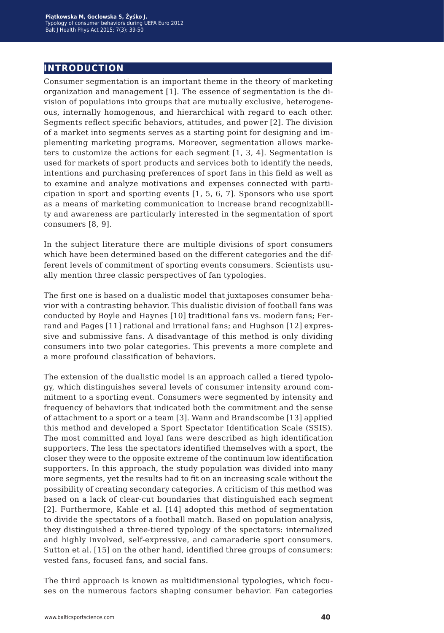## **introduction**

Consumer segmentation is an important theme in the theory of marketing organization and management [1]. The essence of segmentation is the division of populations into groups that are mutually exclusive, heterogeneous, internally homogenous, and hierarchical with regard to each other. Segments reflect specific behaviors, attitudes, and power [2]. The division of a market into segments serves as a starting point for designing and implementing marketing programs. Moreover, segmentation allows marketers to customize the actions for each segment [1, 3, 4]. Segmentation is used for markets of sport products and services both to identify the needs, intentions and purchasing preferences of sport fans in this field as well as to examine and analyze motivations and expenses connected with participation in sport and sporting events [1, 5, 6, 7]. Sponsors who use sport as a means of marketing communication to increase brand recognizability and awareness are particularly interested in the segmentation of sport consumers [8, 9].

In the subject literature there are multiple divisions of sport consumers which have been determined based on the different categories and the different levels of commitment of sporting events consumers. Scientists usually mention three classic perspectives of fan typologies.

The first one is based on a dualistic model that juxtaposes consumer behavior with a contrasting behavior. This dualistic division of football fans was conducted by Boyle and Haynes [10] traditional fans vs. modern fans; Ferrand and Pages [11] rational and irrational fans; and Hughson [12] expressive and submissive fans. A disadvantage of this method is only dividing consumers into two polar categories. This prevents a more complete and a more profound classification of behaviors.

The extension of the dualistic model is an approach called a tiered typology, which distinguishes several levels of consumer intensity around commitment to a sporting event. Consumers were segmented by intensity and frequency of behaviors that indicated both the commitment and the sense of attachment to a sport or a team [3]. Wann and Brandscombe [13] applied this method and developed a Sport Spectator Identification Scale (SSIS). The most committed and loyal fans were described as high identification supporters. The less the spectators identified themselves with a sport, the closer they were to the opposite extreme of the continuum low identification supporters. In this approach, the study population was divided into many more segments, yet the results had to fit on an increasing scale without the possibility of creating secondary categories. A criticism of this method was based on a lack of clear-cut boundaries that distinguished each segment [2]. Furthermore, Kahle et al. [14] adopted this method of segmentation to divide the spectators of a football match. Based on population analysis, they distinguished a three-tiered typology of the spectators: internalized and highly involved, self-expressive, and camaraderie sport consumers. Sutton et al. [15] on the other hand, identified three groups of consumers: vested fans, focused fans, and social fans.

The third approach is known as multidimensional typologies, which focuses on the numerous factors shaping consumer behavior. Fan categories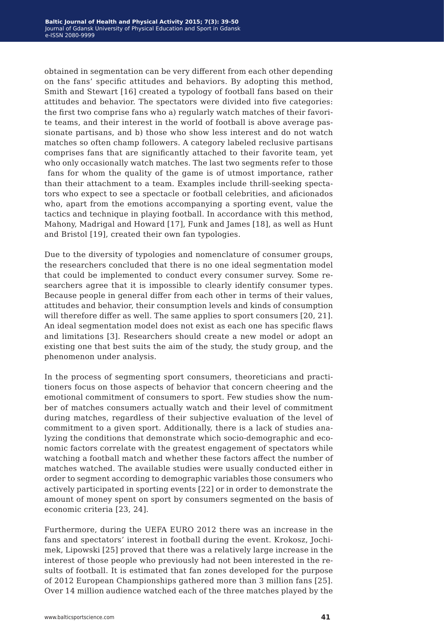obtained in segmentation can be very different from each other depending on the fans' specific attitudes and behaviors. By adopting this method, Smith and Stewart [16] created a typology of football fans based on their attitudes and behavior. The spectators were divided into five categories: the first two comprise fans who a) regularly watch matches of their favorite teams, and their interest in the world of football is above average passionate partisans, and b) those who show less interest and do not watch matches so often champ followers. A category labeled reclusive partisans comprises fans that are significantly attached to their favorite team, yet who only occasionally watch matches. The last two segments refer to those fans for whom the quality of the game is of utmost importance, rather than their attachment to a team. Examples include thrill-seeking spectators who expect to see a spectacle or football celebrities, and aficionados who, apart from the emotions accompanying a sporting event, value the tactics and technique in playing football. In accordance with this method, Mahony, Madrigal and Howard [17], Funk and James [18], as well as Hunt and Bristol [19], created their own fan typologies.

Due to the diversity of typologies and nomenclature of consumer groups, the researchers concluded that there is no one ideal segmentation model that could be implemented to conduct every consumer survey. Some researchers agree that it is impossible to clearly identify consumer types. Because people in general differ from each other in terms of their values, attitudes and behavior, their consumption levels and kinds of consumption will therefore differ as well. The same applies to sport consumers [20, 21]. An ideal segmentation model does not exist as each one has specific flaws and limitations [3]. Researchers should create a new model or adopt an existing one that best suits the aim of the study, the study group, and the phenomenon under analysis.

In the process of segmenting sport consumers, theoreticians and practitioners focus on those aspects of behavior that concern cheering and the emotional commitment of consumers to sport. Few studies show the number of matches consumers actually watch and their level of commitment during matches, regardless of their subjective evaluation of the level of commitment to a given sport. Additionally, there is a lack of studies analyzing the conditions that demonstrate which socio-demographic and economic factors correlate with the greatest engagement of spectators while watching a football match and whether these factors affect the number of matches watched. The available studies were usually conducted either in order to segment according to demographic variables those consumers who actively participated in sporting events [22] or in order to demonstrate the amount of money spent on sport by consumers segmented on the basis of economic criteria [23, 24].

Furthermore, during the UEFA EURO 2012 there was an increase in the fans and spectators' interest in football during the event. Krokosz, Jochimek, Lipowski [25] proved that there was a relatively large increase in the interest of those people who previously had not been interested in the results of football. It is estimated that fan zones developed for the purpose of 2012 European Championships gathered more than 3 million fans [25]. Over 14 million audience watched each of the three matches played by the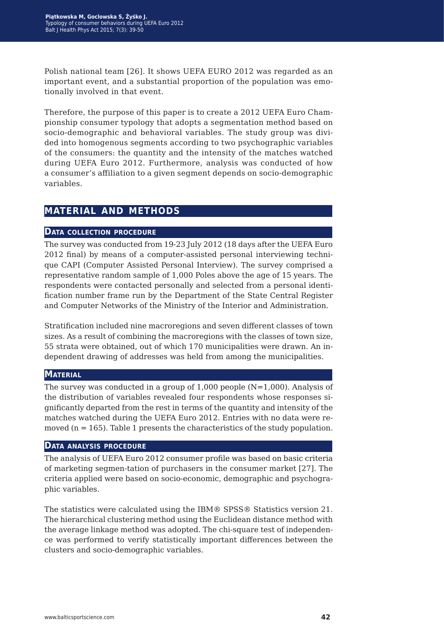Polish national team [26]. It shows UEFA EURO 2012 was regarded as an important event, and a substantial proportion of the population was emotionally involved in that event.

Therefore, the purpose of this paper is to create a 2012 UEFA Euro Championship consumer typology that adopts a segmentation method based on socio-demographic and behavioral variables. The study group was divided into homogenous segments according to two psychographic variables of the consumers: the quantity and the intensity of the matches watched during UEFA Euro 2012. Furthermore, analysis was conducted of how a consumer's affiliation to a given segment depends on socio-demographic variables.

## **material and methods**

#### **Data collection procedure**

The survey was conducted from 19-23 July 2012 (18 days after the UEFA Euro 2012 final) by means of a computer-assisted personal interviewing technique CAPI (Computer Assisted Personal Interview). The survey comprised a representative random sample of 1,000 Poles above the age of 15 years. The respondents were contacted personally and selected from a personal identification number frame run by the Department of the State Central Register and Computer Networks of the Ministry of the Interior and Administration.

Stratification included nine macroregions and seven different classes of town sizes. As a result of combining the macroregions with the classes of town size, 55 strata were obtained, out of which 170 municipalities were drawn. An independent drawing of addresses was held from among the municipalities.

#### **Material**

The survey was conducted in a group of  $1,000$  people (N=1,000). Analysis of the distribution of variables revealed four respondents whose responses significantly departed from the rest in terms of the quantity and intensity of the matches watched during the UEFA Euro 2012. Entries with no data were removed  $(n = 165)$ . Table 1 presents the characteristics of the study population.

#### **Data analysis procedure**

The analysis of UEFA Euro 2012 consumer profile was based on basic criteria of marketing segmen-tation of purchasers in the consumer market [27]. The criteria applied were based on socio-economic, demographic and psychographic variables.

The statistics were calculated using the IBM® SPSS® Statistics version 21. The hierarchical clustering method using the Euclidean distance method with the average linkage method was adopted. The chi-square test of independence was performed to verify statistically important differences between the clusters and socio-demographic variables.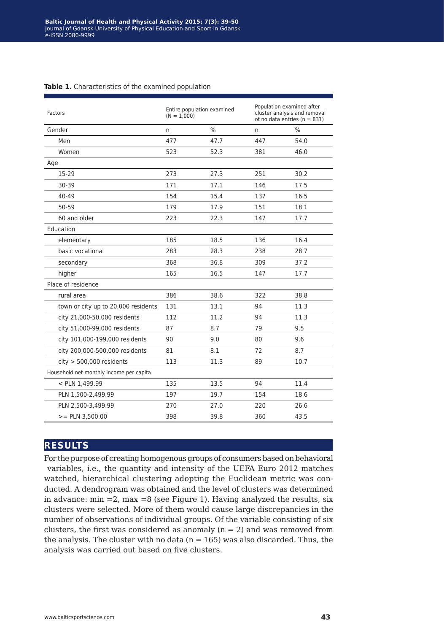| Factors                                 | Entire population examined<br>$(N = 1.000)$ |               | Population examined after<br>cluster analysis and removal<br>of no data entries ( $n = 831$ ) |      |
|-----------------------------------------|---------------------------------------------|---------------|-----------------------------------------------------------------------------------------------|------|
| Gender                                  | n                                           | $\frac{0}{0}$ | n.                                                                                            | $\%$ |
| Men                                     | 477                                         | 47.7          | 447                                                                                           | 54.0 |
| Women                                   | 523                                         | 52.3          | 381                                                                                           | 46.0 |
| Age                                     |                                             |               |                                                                                               |      |
| 15-29                                   | 273                                         | 27.3          | 251                                                                                           | 30.2 |
| 30-39                                   | 171                                         | 17.1          | 146                                                                                           | 17.5 |
| 40-49                                   | 154                                         | 15.4          | 137                                                                                           | 16.5 |
| 50-59                                   | 179                                         | 17.9          | 151                                                                                           | 18.1 |
| 60 and older                            | 223                                         | 22.3          | 147                                                                                           | 17.7 |
| Education                               |                                             |               |                                                                                               |      |
| elementary                              | 185                                         | 18.5          | 136                                                                                           | 16.4 |
| basic vocational                        | 283                                         | 28.3          | 238                                                                                           | 28.7 |
| secondary                               | 368                                         | 36.8          | 309                                                                                           | 37.2 |
| higher                                  | 165                                         | 16.5          | 147                                                                                           | 17.7 |
| Place of residence                      |                                             |               |                                                                                               |      |
| rural area                              | 386                                         | 38.6          | 322                                                                                           | 38.8 |
| town or city up to 20,000 residents     | 131                                         | 13.1          | 94                                                                                            | 11.3 |
| city 21,000-50,000 residents            | 112                                         | 11.2          | 94                                                                                            | 11.3 |
| city 51,000-99,000 residents            | 87                                          | 8.7           | 79                                                                                            | 9.5  |
| city 101,000-199,000 residents          | 90                                          | 9.0           | 80                                                                                            | 9.6  |
| city 200,000-500,000 residents          | 81                                          | 8.1           | 72                                                                                            | 8.7  |
| $city$ > 500,000 residents              | 113                                         | 11.3          | 89                                                                                            | 10.7 |
| Household net monthly income per capita |                                             |               |                                                                                               |      |
| < PLN 1,499.99                          | 135                                         | 13.5          | 94                                                                                            | 11.4 |
| PLN 1,500-2,499.99                      | 197                                         | 19.7          | 154                                                                                           | 18.6 |
| PLN 2,500-3,499.99                      | 270                                         | 27.0          | 220                                                                                           | 26.6 |
| $>=$ PLN 3,500.00                       | 398                                         | 39.8          | 360                                                                                           | 43.5 |

#### **Table 1.** Characteristics of the examined population

## **results**

For the purpose of creating homogenous groups of consumers based on behavioral variables, i.e., the quantity and intensity of the UEFA Euro 2012 matches watched, hierarchical clustering adopting the Euclidean metric was conducted. A dendrogram was obtained and the level of clusters was determined in advance:  $min =2$ ,  $max =8$  (see Figure 1). Having analyzed the results, six clusters were selected. More of them would cause large discrepancies in the number of observations of individual groups. Of the variable consisting of six clusters, the first was considered as anomaly  $(n = 2)$  and was removed from the analysis. The cluster with no data  $(n = 165)$  was also discarded. Thus, the analysis was carried out based on five clusters.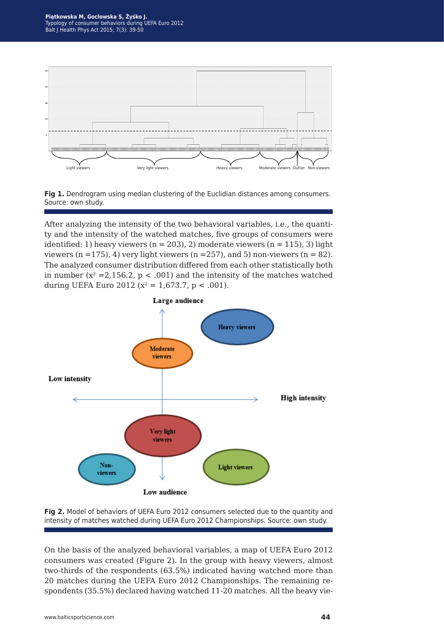



After analyzing the intensity of the two behavioral variables, i.e., the quantity and the intensity of the watched matches, five groups of consumers were identified: 1) heavy viewers ( $n = 203$ ), 2) moderate viewers ( $n = 115$ ), 3) light viewers  $(n = 175)$ , 4) very light viewers  $(n = 257)$ , and 5) non-viewers  $(n = 82)$ . The analyzed consumer distribution differed from each other statistically both in number  $(x^2 = 2,156.2, p < .001)$  and the intensity of the matches watched during UEFA Euro 2012 ( $x^2 = 1.673.7$ ,  $p < .001$ ).





On the basis of the analyzed behavioral variables, a map of UEFA Euro 2012 consumers was created (Figure 2). In the group with heavy viewers, almost two-thirds of the respondents (63.5%) indicated having watched more than 20 matches during the UEFA Euro 2012 Championships. The remaining respondents (35.5%) declared having watched 11-20 matches. All the heavy vie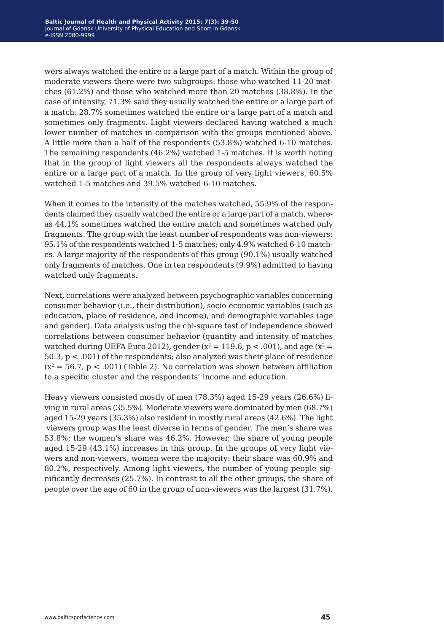wers always watched the entire or a large part of a match. Within the group of moderate viewers there were two subgroups: those who watched 11-20 matches (61.2%) and those who watched more than 20 matches (38.8%). In the case of intensity, 71.3% said they usually watched the entire or a large part of a match; 28.7% sometimes watched the entire or a large part of a match and sometimes only fragments. Light viewers declared having watched a much lower number of matches in comparison with the groups mentioned above. A little more than a half of the respondents (53.8%) watched 6-10 matches. The remaining respondents (46.2%) watched 1-5 matches. It is worth noting that in the group of light viewers all the respondents always watched the entire or a large part of a match. In the group of very light viewers, 60.5% watched 1-5 matches and 39.5% watched 6-10 matches.

When it comes to the intensity of the matches watched, 55.9% of the respondents claimed they usually watched the entire or a large part of a match, whereas 44.1% sometimes watched the entire match and sometimes watched only fragments. The group with the least number of respondents was non-viewers: 95.1% of the respondents watched 1-5 matches; only 4.9% watched 6-10 matches. A large majority of the respondents of this group (90.1%) usually watched only fragments of matches. One in ten respondents (9.9%) admitted to having watched only fragments.

Next, correlations were analyzed between psychographic variables concerning consumer behavior (i.e., their distribution), socio-economic variables (such as education, place of residence, and income), and demographic variables (age and gender). Data analysis using the chi-square test of independence showed correlations between consumer behavior (quantity and intensity of matches watched during UEFA Euro 2012), gender  $(x^2 = 119.6, p < .001)$ , and age  $(x^2 = 119.6, p < .001)$ 50.3, p < .001) of the respondents; also analyzed was their place of residence  $(x^2 = 56.7, p < .001)$  (Table 2). No correlation was shown between affiliation to a specific cluster and the respondents' income and education.

Heavy viewers consisted mostly of men (78.3%) aged 15-29 years (26.6%) living in rural areas (35.5%). Moderate viewers were dominated by men (68.7%) aged 15-29 years (35.3%) also resident in mostly rural areas (42.6%). The light viewers group was the least diverse in terms of gender. The men's share was 53.8%; the women's share was 46.2%. However, the share of young people aged 15-29 (43.1%) increases in this group. In the groups of very light viewers and non-viewers, women were the majority: their share was 60.9% and 80.2%, respectively. Among light viewers, the number of young people significantly decreases (25.7%). In contrast to all the other groups, the share of people over the age of 60 in the group of non-viewers was the largest (31.7%).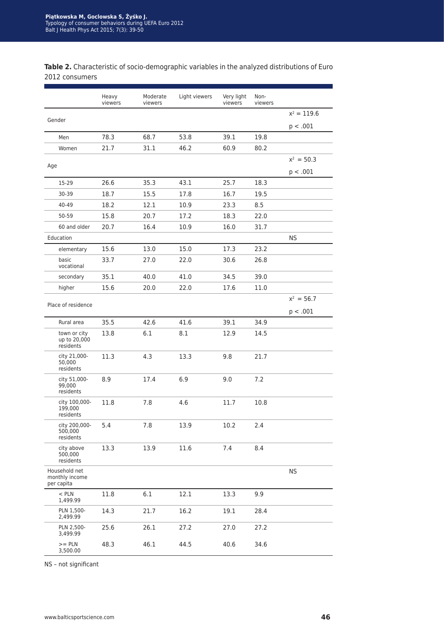**Table 2.** Characteristic of socio-demographic variables in the analyzed distributions of Euro 2012 consumers

|                                               | Heavy<br>viewers | Moderate<br>viewers | Light viewers | Very light<br>viewers | Non-<br>viewers |               |
|-----------------------------------------------|------------------|---------------------|---------------|-----------------------|-----------------|---------------|
|                                               |                  |                     |               |                       |                 | $x^2 = 119.6$ |
| Gender                                        |                  |                     |               |                       |                 | p < .001      |
| Men                                           | 78.3             | 68.7                | 53.8          | 39.1                  | 19.8            |               |
| Women                                         | 21.7             | 31.1                | 46.2          | 60.9                  | 80.2            |               |
|                                               |                  |                     |               |                       |                 | $x^2 = 50.3$  |
| Age                                           |                  |                     |               |                       |                 | p < .001      |
| 15-29                                         | 26.6             | 35.3                | 43.1          | 25.7                  | 18.3            |               |
| 30-39                                         | 18.7             | 15.5                | 17.8          | 16.7                  | 19.5            |               |
| 40-49                                         | 18.2             | 12.1                | 10.9          | 23.3                  | 8.5             |               |
| 50-59                                         | 15.8             | 20.7                | 17.2          | 18.3                  | 22.0            |               |
| 60 and older                                  | 20.7             | 16.4                | 10.9          | 16.0                  | 31.7            |               |
| Education                                     |                  |                     |               |                       |                 | <b>NS</b>     |
| elementary                                    | 15.6             | 13.0                | 15.0          | 17.3                  | 23.2            |               |
| basic<br>vocational                           | 33.7             | 27.0                | 22.0          | 30.6                  | 26.8            |               |
| secondary                                     | 35.1             | 40.0                | 41.0          | 34.5                  | 39.0            |               |
| higher                                        | 15.6             | 20.0                | 22.0          | 17.6                  | 11.0            |               |
| Place of residence                            |                  |                     |               |                       |                 | $x^2 = 56.7$  |
|                                               |                  |                     |               |                       |                 | p < .001      |
| Rural area                                    | 35.5             | 42.6                | 41.6          | 39.1                  | 34.9            |               |
| town or city<br>up to 20,000<br>residents     | 13.8             | 6.1                 | 8.1           | 12.9                  | 14.5            |               |
| city 21,000-<br>50,000<br>residents           | 11.3             | 4.3                 | 13.3          | 9.8                   | 21.7            |               |
| city 51,000-<br>99,000<br>residents           | 8.9              | 17.4                | 6.9           | 9.0                   | 7.2             |               |
| city 100,000-<br>199,000<br>residents         | 11.8             | 7.8                 | 4.6           | 11.7                  | 10.8            |               |
| city 200,000-<br>500,000<br>residents         | 5.4              | 7.8                 | 13.9          | 10.2                  | 2.4             |               |
| city above<br>500,000<br>residents            | 13.3             | 13.9                | 11.6          | 7.4                   | 8.4             |               |
| Household net<br>monthly income<br>per capita |                  |                     |               |                       |                 | <b>NS</b>     |
| $<$ PLN<br>1,499.99                           | 11.8             | 6.1                 | 12.1          | 13.3                  | 9.9             |               |
| PLN 1,500-<br>2,499.99                        | 14.3             | 21.7                | 16.2          | 19.1                  | 28.4            |               |
| PLN 2,500-<br>3,499.99                        | 25.6             | 26.1                | 27.2          | 27.0                  | 27.2            |               |
| $>=$ PLN<br>3,500.00                          | 48.3             | 46.1                | 44.5          | 40.6                  | 34.6            |               |

NS – not significant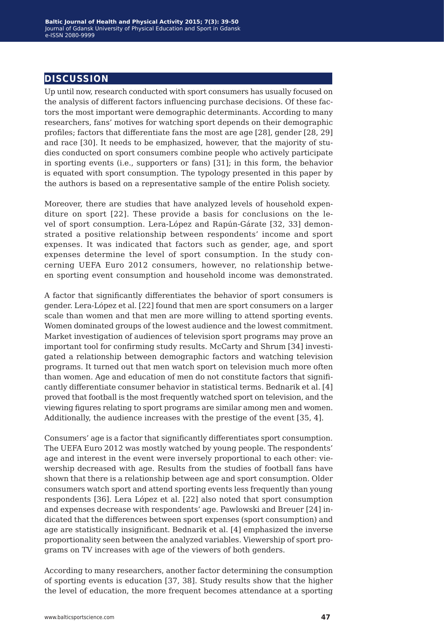## **discussion**

Up until now, research conducted with sport consumers has usually focused on the analysis of different factors influencing purchase decisions. Of these factors the most important were demographic determinants. According to many researchers, fans' motives for watching sport depends on their demographic profiles; factors that differentiate fans the most are age [28], gender [28, 29] and race [30]. It needs to be emphasized, however, that the majority of studies conducted on sport consumers combine people who actively participate in sporting events (i.e., supporters or fans) [31]; in this form, the behavior is equated with sport consumption. The typology presented in this paper by the authors is based on a representative sample of the entire Polish society.

Moreover, there are studies that have analyzed levels of household expenditure on sport [22]. These provide a basis for conclusions on the level of sport consumption. Lera-López and Rapún-Gárate [32, 33] demonstrated a positive relationship between respondents' income and sport expenses. It was indicated that factors such as gender, age, and sport expenses determine the level of sport consumption. In the study concerning UEFA Euro 2012 consumers, however, no relationship between sporting event consumption and household income was demonstrated.

A factor that significantly differentiates the behavior of sport consumers is gender. Lera-López et al. [22] found that men are sport consumers on a larger scale than women and that men are more willing to attend sporting events. Women dominated groups of the lowest audience and the lowest commitment. Market investigation of audiences of television sport programs may prove an important tool for confirming study results. McCarty and Shrum [34] investigated a relationship between demographic factors and watching television programs. It turned out that men watch sport on television much more often than women. Age and education of men do not constitute factors that significantly differentiate consumer behavior in statistical terms. Bednarik et al. [4] proved that football is the most frequently watched sport on television, and the viewing figures relating to sport programs are similar among men and women. Additionally, the audience increases with the prestige of the event [35, 4].

Consumers' age is a factor that significantly differentiates sport consumption. The UEFA Euro 2012 was mostly watched by young people. The respondents' age and interest in the event were inversely proportional to each other: viewership decreased with age. Results from the studies of football fans have shown that there is a relationship between age and sport consumption. Older consumers watch sport and attend sporting events less frequently than young respondents [36]. Lera López et al. [22] also noted that sport consumption and expenses decrease with respondents' age. Pawlowski and Breuer [24] indicated that the differences between sport expenses (sport consumption) and age are statistically insignificant. Bednarik et al. [4] emphasized the inverse proportionality seen between the analyzed variables. Viewership of sport programs on TV increases with age of the viewers of both genders.

According to many researchers, another factor determining the consumption of sporting events is education [37, 38]. Study results show that the higher the level of education, the more frequent becomes attendance at a sporting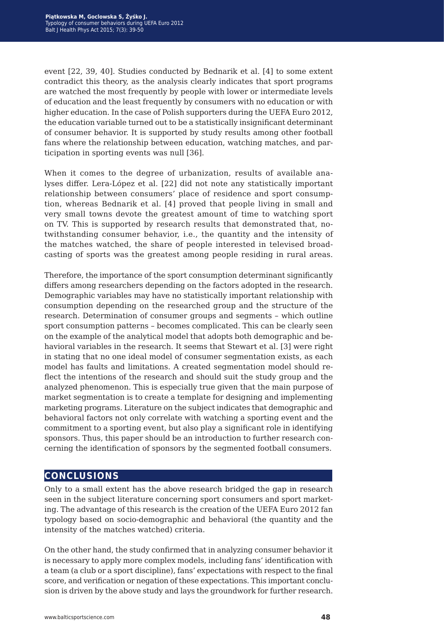event [22, 39, 40]. Studies conducted by Bednarik et al. [4] to some extent contradict this theory, as the analysis clearly indicates that sport programs are watched the most frequently by people with lower or intermediate levels of education and the least frequently by consumers with no education or with higher education. In the case of Polish supporters during the UEFA Euro 2012, the education variable turned out to be a statistically insignificant determinant of consumer behavior. It is supported by study results among other football fans where the relationship between education, watching matches, and participation in sporting events was null [36].

When it comes to the degree of urbanization, results of available analyses differ. Lera-López et al. [22] did not note any statistically important relationship between consumers' place of residence and sport consumption, whereas Bednarik et al. [4] proved that people living in small and very small towns devote the greatest amount of time to watching sport on TV. This is supported by research results that demonstrated that, notwithstanding consumer behavior, i.e., the quantity and the intensity of the matches watched, the share of people interested in televised broadcasting of sports was the greatest among people residing in rural areas.

Therefore, the importance of the sport consumption determinant significantly differs among researchers depending on the factors adopted in the research. Demographic variables may have no statistically important relationship with consumption depending on the researched group and the structure of the research. Determination of consumer groups and segments – which outline sport consumption patterns – becomes complicated. This can be clearly seen on the example of the analytical model that adopts both demographic and behavioral variables in the research. It seems that Stewart et al. [3] were right in stating that no one ideal model of consumer segmentation exists, as each model has faults and limitations. A created segmentation model should reflect the intentions of the research and should suit the study group and the analyzed phenomenon. This is especially true given that the main purpose of market segmentation is to create a template for designing and implementing marketing programs. Literature on the subject indicates that demographic and behavioral factors not only correlate with watching a sporting event and the commitment to a sporting event, but also play a significant role in identifying sponsors. Thus, this paper should be an introduction to further research concerning the identification of sponsors by the segmented football consumers.

### **conclusions**

Only to a small extent has the above research bridged the gap in research seen in the subject literature concerning sport consumers and sport marketing. The advantage of this research is the creation of the UEFA Euro 2012 fan typology based on socio-demographic and behavioral (the quantity and the intensity of the matches watched) criteria.

On the other hand, the study confirmed that in analyzing consumer behavior it is necessary to apply more complex models, including fans' identification with a team (a club or a sport discipline), fans' expectations with respect to the final score, and verification or negation of these expectations. This important conclusion is driven by the above study and lays the groundwork for further research.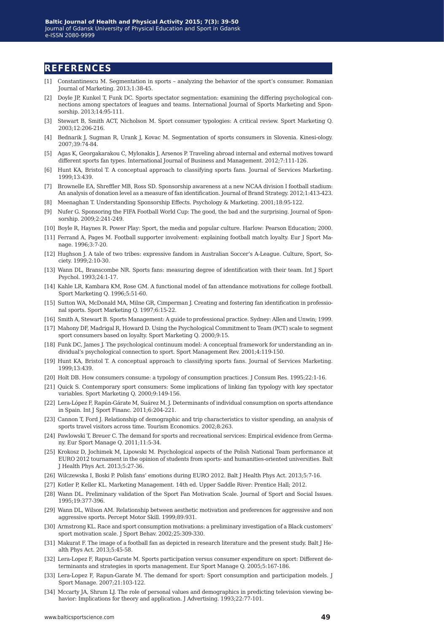### **references**

- [1] Constantinescu M. Segmentation in sports analyzing the behavior of the sport's consumer. Romanian Journal of Marketing. 2013;1:38-45.
- [2] Doyle JP, Kunkel T, Funk DC. Sports spectator segmentation: examining the differing psychological connections among spectators of leagues and teams. International Journal of Sports Marketing and Sponsorship. 2013;14:95-111.
- [3] Stewart B, Smith ACT, Nicholson M. Sport consumer typologies: A critical review. Sport Marketing Q. 2003;12:206-216.
- [4] Bednarik J, Sugman R, Urank J, Kovac M. Segmentation of sports consumers in Slovenia. Kinesi-ology. 2007;39:74-84.
- [5] Agas K, Georgakarakou C, Mylonakis J, Arsenos P. Traveling abroad internal and external motives toward different sports fan types. International Journal of Business and Management. 2012;7:111-126.
- [6] Hunt KA, Bristol T. A conceptual approach to classifying sports fans. Journal of Services Marketing. 1999;13:439.
- [7] Brownelle EA, Shreffler MB, Ross SD. Sponsorship awareness at a new NCAA division I football stadium: An analysis of donation level as a measure of fan identification. Journal of Brand Strategy. 2012;1:413-423.
- [8] Meenaghan T. Understanding Sponsorship Effects. Psychology & Marketing. 2001;18:95-122.
- [9] Nufer G. Sponsoring the FIFA Football World Cup: The good, the bad and the surprising. Journal of Sponsorship. 2009;2:241-249.
- [10] Boyle R, Haynes R. Power Play: Sport, the media and popular culture. Harlow: Pearson Education; 2000.
- [11] Ferrand A, Pages M. Football supporter involvement: explaining football match loyalty. Eur J Sport Manage. 1996;3:7-20.
- [12] Hughson J. A tale of two tribes: expressive fandom in Australian Soccer's A-League. Culture, Sport, Society. 1999;2:10-30.
- [13] Wann DL, Branscombe NR. Sports fans: measuring degree of identification with their team. Int J Sport Psychol. 1993;24:1-17.
- [14] Kahle LR, Kambara KM, Rose GM. A functional model of fan attendance motivations for college football. Sport Marketing Q. 1996;5:51-60.
- [15] Sutton WA, McDonald MA, Milne GR, Cimperman J. Creating and fostering fan identification in professional sports. Sport Marketing Q. 1997;6:15-22.
- [16] Smith A, Stewart B. Sports Management: A guide to professional practice. Sydney: Allen and Unwin; 1999.
- [17] Mahony DF, Madrigal R, Howard D. Using the Psychological Commitment to Team (PCT) scale to segment sport consumers based on loyalty. Sport Marketing Q. 2000;9:15.
- [18] Funk DC, James J. The psychological continuum model: A conceptual framework for understanding an individual's psychological connection to sport. Sport Management Rev. 2001;4:119-150.
- [19] Hunt KA, Bristol T. A conceptual approach to classifying sports fans. Journal of Services Marketing. 1999;13:439.
- [20] Holt DB. How consumers consume: a typology of consumption practices. J Consum Res. 1995;22:1-16.
- [21] Quick S. Contemporary sport consumers: Some implications of linking fan typology with key spectator variables. Sport Marketing Q. 2000;9:149-156.
- [22] Lera-López F, Rapún-Gárate M, Suárez M. J. Determinants of individual consumption on sports attendance in Spain. Int J Sport Financ. 2011;6:204-221.
- [23] Cannon T, Ford J. Relationship of demographic and trip characteristics to visitor spending, an analysis of sports travel visitors across time. Tourism Economics. 2002;8:263.
- [24] Pawlowski T, Breuer C. The demand for sports and recreational services: Empirical evidence from Germany. Eur Sport Manage Q. 2011;11:5-34.
- [25] Krokosz D, Jochimek M, Lipowski M. Psychological aspects of the Polish National Team performance at EURO 2012 tournament in the opinion of students from sports- and humanities-oriented universities. Balt J Health Phys Act. 2013;5:27-36.
- [26] Wilczewska I, Boski P. Polish fans' emotions during EURO 2012. Balt J Health Phys Act. 2013;5:7-16.
- [27] Kotler P, Keller KL. Marketing Management. 14th ed. Upper Saddle River: Prentice Hall; 2012.
- [28] Wann DL. Preliminary validation of the Sport Fan Motivation Scale. Journal of Sport and Social Issues. 1995;19:377-396.
- [29] Wann DL, Wilson AM. Relationship between aesthetic motivation and preferences for aggressive and non aggressive sports. Percept Motor Skill. 1999;89:931.
- [30] Armstrong KL. Race and sport consumption motivations: a preliminary investigation of a Black customers' sport motivation scale. J Sport Behav. 2002;25:309-330.
- [31] Makurat F. The image of a football fan as depicted in research literature and the present study. Balt J Health Phys Act. 2013;5:45-58.
- [32] Lera-Lopez F, Rapun-Garate M. Sports participation versus consumer expenditure on sport: Different determinants and strategies in sports management. Eur Sport Manage Q. 2005;5:167-186.
- [33] Lera-Lopez F, Rapun-Garate M. The demand for sport: Sport consumption and participation models. J Sport Manage. 2007;21:103-122.
- [34] Mccarty JA, Shrum LJ. The role of personal values and demographics in predicting television viewing behavior: Implications for theory and application. J Advertising. 1993;22:77-101.